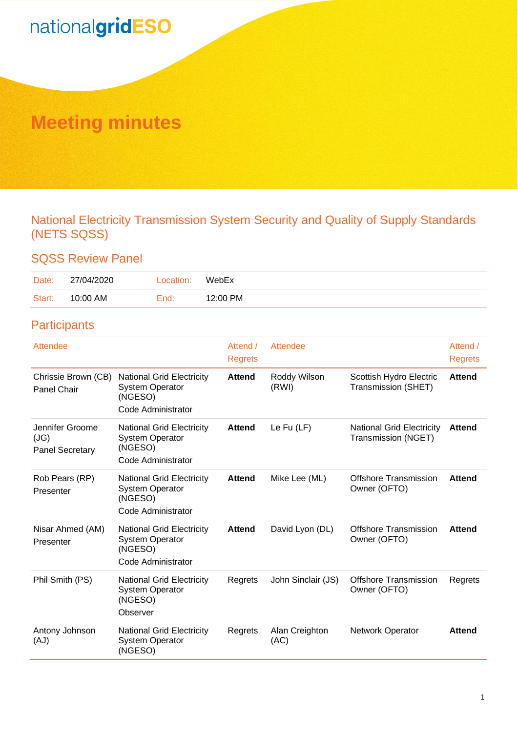# **Meeting minutes**

National Electricity Transmission System Security and Quality of Supply Standards (NETS SQSS)

## SQSS Review Panel

| Date:  | 27/04/2020 | Location: | WebEx    |
|--------|------------|-----------|----------|
| Start: | 10:00 AM   | End:      | 12:00 PM |

## **Participants**

| Attendee                                          |                                                                                             | Attend /<br><b>Regrets</b> | Attendee               |                                                         | Attend /<br><b>Regrets</b> |
|---------------------------------------------------|---------------------------------------------------------------------------------------------|----------------------------|------------------------|---------------------------------------------------------|----------------------------|
| Chrissie Brown (CB)<br><b>Panel Chair</b>         | <b>National Grid Electricity</b><br><b>System Operator</b><br>(NGESO)<br>Code Administrator | <b>Attend</b>              | Roddy Wilson<br>(RWI)  | Scottish Hydro Electric<br>Transmission (SHET)          | <b>Attend</b>              |
| Jennifer Groome<br>(JG)<br><b>Panel Secretary</b> | <b>National Grid Electricity</b><br><b>System Operator</b><br>(NGESO)<br>Code Administrator | <b>Attend</b>              | Le $Fu$ (LF)           | <b>National Grid Electricity</b><br>Transmission (NGET) | <b>Attend</b>              |
| Rob Pears (RP)<br>Presenter                       | <b>National Grid Electricity</b><br><b>System Operator</b><br>(NGESO)<br>Code Administrator | <b>Attend</b>              | Mike Lee (ML)          | <b>Offshore Transmission</b><br>Owner (OFTO)            | <b>Attend</b>              |
| Nisar Ahmed (AM)<br>Presenter                     | <b>National Grid Electricity</b><br><b>System Operator</b><br>(NGESO)<br>Code Administrator | <b>Attend</b>              | David Lyon (DL)        | <b>Offshore Transmission</b><br>Owner (OFTO)            | <b>Attend</b>              |
| Phil Smith (PS)                                   | <b>National Grid Electricity</b><br><b>System Operator</b><br>(NGESO)<br>Observer           | Regrets                    | John Sinclair (JS)     | <b>Offshore Transmission</b><br>Owner (OFTO)            | Regrets                    |
| Antony Johnson<br>(AJ)                            | <b>National Grid Electricity</b><br><b>System Operator</b><br>(NGESO)                       | Regrets                    | Alan Creighton<br>(AC) | <b>Network Operator</b>                                 | <b>Attend</b>              |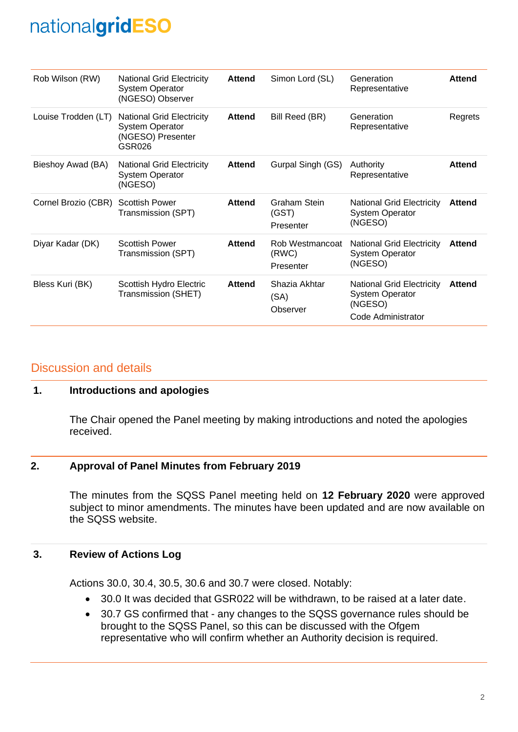| Rob Wilson (RW)     | <b>National Grid Electricity</b><br><b>System Operator</b><br>(NGESO) Observer            | <b>Attend</b> | Simon Lord (SL)                       | Generation<br>Representative                                                                | <b>Attend</b> |
|---------------------|-------------------------------------------------------------------------------------------|---------------|---------------------------------------|---------------------------------------------------------------------------------------------|---------------|
| Louise Trodden (LT) | <b>National Grid Electricity</b><br><b>System Operator</b><br>(NGESO) Presenter<br>GSR026 | <b>Attend</b> | Bill Reed (BR)                        | Generation<br>Representative                                                                | Regrets       |
| Bieshoy Awad (BA)   | <b>National Grid Electricity</b><br><b>System Operator</b><br>(NGESO)                     | <b>Attend</b> | Gurpal Singh (GS)                     | Authority<br>Representative                                                                 | <b>Attend</b> |
| Cornel Brozio (CBR) | <b>Scottish Power</b><br>Transmission (SPT)                                               | <b>Attend</b> | Graham Stein<br>(GST)<br>Presenter    | National Grid Electricity<br><b>System Operator</b><br>(NGESO)                              | Attend        |
| Diyar Kadar (DK)    | <b>Scottish Power</b><br>Transmission (SPT)                                               | <b>Attend</b> | Rob Westmancoat<br>(RWC)<br>Presenter | <b>National Grid Electricity</b><br><b>System Operator</b><br>(NGESO)                       | Attend        |
| Bless Kuri (BK)     | Scottish Hydro Electric<br>Transmission (SHET)                                            | <b>Attend</b> | Shazia Akhtar<br>(SA)<br>Observer     | <b>National Grid Electricity</b><br><b>System Operator</b><br>(NGESO)<br>Code Administrator | <b>Attend</b> |

### Discussion and details

#### **1. Introductions and apologies**

The Chair opened the Panel meeting by making introductions and noted the apologies received.

#### **2. Approval of Panel Minutes from February 2019**

The minutes from the SQSS Panel meeting held on **12 February 2020** were approved subject to minor amendments. The minutes have been updated and are now available on the SQSS website.

#### **3. Review of Actions Log**

Actions 30.0, 30.4, 30.5, 30.6 and 30.7 were closed. Notably:

- 30.0 It was decided that GSR022 will be withdrawn, to be raised at a later date.
- 30.7 GS confirmed that any changes to the SQSS governance rules should be brought to the SQSS Panel, so this can be discussed with the Ofgem representative who will confirm whether an Authority decision is required.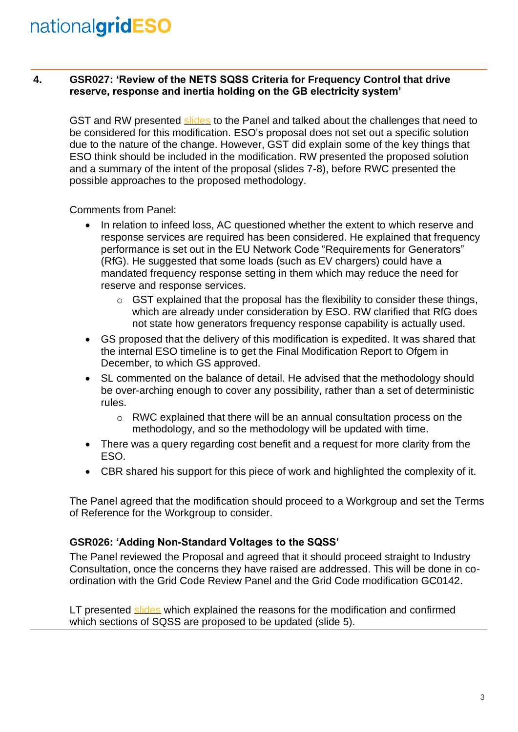### **4. GSR027: 'Review of the NETS SQSS Criteria for Frequency Control that drive reserve, response and inertia holding on the GB electricity system'**

GST and RW presented [slides](https://www.nationalgrideso.com/industry-information/codes/security-and-quality-supply-standards-old/meetings/sqss-panel-meeting) to the Panel and talked about the challenges that need to be considered for this modification. ESO's proposal does not set out a specific solution due to the nature of the change. However, GST did explain some of the key things that ESO think should be included in the modification. RW presented the proposed solution and a summary of the intent of the proposal (slides 7-8), before RWC presented the possible approaches to the proposed methodology.

Comments from Panel:

- In relation to infeed loss, AC questioned whether the extent to which reserve and response services are required has been considered. He explained that frequency performance is set out in the EU Network Code "Requirements for Generators" (RfG). He suggested that some loads (such as EV chargers) could have a mandated frequency response setting in them which may reduce the need for reserve and response services.
	- $\circ$  GST explained that the proposal has the flexibility to consider these things, which are already under consideration by ESO. RW clarified that RfG does not state how generators frequency response capability is actually used.
- GS proposed that the delivery of this modification is expedited. It was shared that the internal ESO timeline is to get the Final Modification Report to Ofgem in December, to which GS approved.
- SL commented on the balance of detail. He advised that the methodology should be over-arching enough to cover any possibility, rather than a set of deterministic rules.
	- $\circ$  RWC explained that there will be an annual consultation process on the methodology, and so the methodology will be updated with time.
- There was a query regarding cost benefit and a request for more clarity from the ESO.
- CBR shared his support for this piece of work and highlighted the complexity of it.

The Panel agreed that the modification should proceed to a Workgroup and set the Terms of Reference for the Workgroup to consider.

### **GSR026: 'Adding Non-Standard Voltages to the SQSS'**

The Panel reviewed the Proposal and agreed that it should proceed straight to Industry Consultation, once the concerns they have raised are addressed. This will be done in coordination with the Grid Code Review Panel and the Grid Code modification GC0142.

LT presented [slides](https://www.nationalgrideso.com/industry-information/codes/security-and-quality-supply-standards-old/meetings/sqss-panel-meeting) which explained the reasons for the modification and confirmed which sections of SQSS are proposed to be updated (slide 5).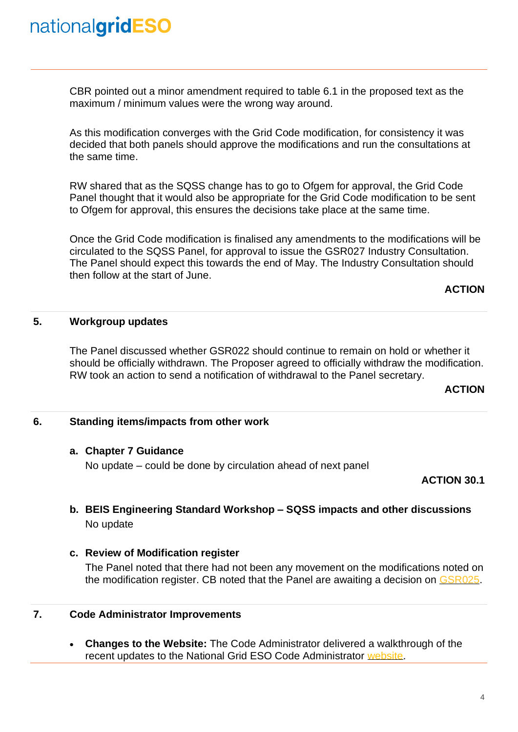CBR pointed out a minor amendment required to table 6.1 in the proposed text as the maximum / minimum values were the wrong way around.

As this modification converges with the Grid Code modification, for consistency it was decided that both panels should approve the modifications and run the consultations at the same time.

RW shared that as the SQSS change has to go to Ofgem for approval, the Grid Code Panel thought that it would also be appropriate for the Grid Code modification to be sent to Ofgem for approval, this ensures the decisions take place at the same time.

Once the Grid Code modification is finalised any amendments to the modifications will be circulated to the SQSS Panel, for approval to issue the GSR027 Industry Consultation. The Panel should expect this towards the end of May. The Industry Consultation should then follow at the start of June.

#### **ACTION**

#### **5. Workgroup updates**

The Panel discussed whether GSR022 should continue to remain on hold or whether it should be officially withdrawn. The Proposer agreed to officially withdraw the modification. RW took an action to send a notification of withdrawal to the Panel secretary.

#### **ACTION**

#### **6. Standing items/impacts from other work**

#### **a. Chapter 7 Guidance**

No update – could be done by circulation ahead of next panel

#### **ACTION 30.1**

### **b. BEIS Engineering Standard Workshop – SQSS impacts and other discussions** No update

#### **c. Review of Modification register**

The Panel noted that there had not been any movement on the modifications noted on the modification register. CB noted that the Panel are awaiting a decision on [GSR025.](https://www.nationalgrideso.com/codes/security-and-quality-supply-standards/modifications/gsr025-updating-sqss-reflect-recent)

### **7. Code Administrator Improvements**

• **Changes to the Website:** The Code Administrator delivered a walkthrough of the recent updates to the National Grid ESO Code Administrator [website.](https://www.nationalgrideso.com/industry-information/codes)